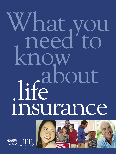# What you<br>need to<br>know about life insurance



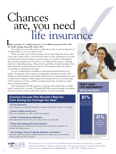# ✓ Chances are, you need<br>life insurance

**ife insurance is a simple answer to a very difficult question: How will my family manage financially when I die? L**

It's a subject no one really wants to think about. But if someone depends on you financially, it's one you cannot avoid.

There are many types of life insurance, but for all of them the bottom line is the same: It pays cash to your loved ones after you die, replacing your income and allowing the financial plans you put in place to continue uninterrupted. Life insurance payments can be used to cover daily living expenses, mortgage payments, outstanding loans, college tuition and other essential expenses. And, importantly, the death benefit proceeds of a life insurance policy are almost never subject to federal income taxes.

If you've worked hard to establish a solid financial framework for your family—investments, home equity, a savings plan, retirement accounts—life insurance is the foundation upon which it all rests. It can guard against the need to make drastic changes to future plans if the unexpected occurs. Certain types of life insurance even have a built-in savings feature that can help you reach asset accumulation goals.

Most Americans need life insurance, and many who already have it might need to update their coverage. This guide will help you sort through your options and show you how to find a plan that's right for you and your family.

#### **Common Excuses That Shouldn't Stop You From Getting the Coverage You Need**

**"It's Too Expensive."**  Not having any or enough life insurance coverage could be more costly to your family.

**"I Haven't Gotten Around to It."** There are no guarantees in life, so don't procrastinate.

**"I Prefer to Put My Money Elsewhere."**  This might work if you're sure you're going to live a nice long life.

#### **"I Worry About Making the Wrong Decision."**

A qualified insurance professional can answer all your questions and guide you through the buying process.

**"The Coverage I Have Through My Employer Is Sufficient."**  Typically, employers provide a modest amount of coverage, and you can't take it with you when you leave your job.



This brochure is a service of the Life and Health Insurance Foundation for Education, a nonprofit organization dedicated to helping consumers make smart insurance decisions to safeguard their families' A NONFROFIT ORGANIZATION financial futures. Learn more at www.life-line.org. © 2006 LIFE. All Rights Reserved.



#### **DON'T HAVE LIFE INSURANCE? You're not alone.**



Sources: Life and Health Insurance Foundation for Education; LIMRA International.

policy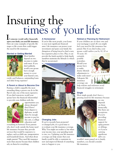### Insuring the times of your life

 **f someone would suffer financially upon your death, you need life insurance.** Here are some examples of specific life stages or life events that could trigger the need for life insurance. **I**

#### **Married or Getting Married**



Most families depend on two incomes to make ends meet. If you died suddenly, would your spouse have enough money to cover your funeral costs,

credit card balances, outstanding loans and daily living expenses?

#### **A Parent or About to Become One**

Raising a child is arguably the most rewarding thing a person can do in life. But it's also one of the most expensive. If you died tomorrow, would your spouse have the financial wherewithal to provide your children with the



always dreamed they'd have? From diapers to diplomas, would there be enough income to pay for day care, a college education and

opportunities you

everything in between? Even parents who don't work outside the home need life insurance because they provide services that would be expensive to replace, such as child care, transportation and household chores. And what about single parents? They need life insurance more than anyone because their children rely on them for everything.

#### **A Homeowner**

If you're like most people, your home is your most significant financial asset. Life insurance can protect your investment and spare your family the disruption of being forced to find a new, less expensive place to live. Plus, it can provide the funds needed to help family members maintain the lifestyle to which they're accustomed.



#### **Changing Jobs**

If you've recently been promoted or changed jobs, it's a good time to re-evaluate your life insurance coverage. Why? You might not realize it, but when your income rises, your spending tends to rise, too. Updating your life insurance coverage can help ensure that your family would be able to maintain its new and improved lifestyle if something were to happen to you.

#### **Retired or Planning for Retirement**

If your children are on their own and your mortgage is paid off, you might feel your need for life insurance has passed. But if you died today, your spouse could outlive you by 10, 20 or

30 years. It's certainly possible nowadays. Would your spouse have to make drastic lifestyle adjustments to make ends meet? Adequate life insurance coverage can





help widows and widowers avoid financial struggles in retirement.

#### **Single**

Most single people don't have a pressing need for life insurance because



depends on them financially. But there are exceptions. If you're providing financial support for aging parents or siblings, or if you're carrying significant debt you

wouldn't want passed on to family members, you should consider life insurance.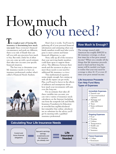# How much<br>do you need?

 **he toughest part of buying life insurance is determining how much you need.** Since everyone's financial circumstances and goals are different, there is no rule of thumb that can tell you with any precision how much to buy. But with a little bit of effort you can come up with a good estimate that takes into account your specific financial situation.

The best way to determine your life insurance needs is to have an insurance professional conduct what's called a Financial Needs Analysis.



Here's how it works. You'll start by gathering all of your personal financial information and estimating what your family members would need after you're gone to meet current and future financial obligations *(see right).*

Next, tally up all of the resources that your surviving family members could draw upon to support themselves. The difference between their needs and the resources in place to meet those needs is your need for additional life insurance *(see below).*

This mathematical equation seems simple enough, but coming up with all the inputs can get tricky. Plus, you'll need to factor in the effects of inflation and assumptions about how much your investments will earn over the long run.

For an estimate that takes all these variables into account, you can visit a variety of insurance needs calculators on the Internet (including one from the nonprofit Life and Health Insurance Foundation for Education at www.life-line.org/lifecalculator). Just remember that online calculators are no substitute for the advice you'll get by meeting with a qualified insurance professional.



#### **How Much Is Enough?**

The average insured adult<br>A merican has roughly \$169,700 in  $\frac{1}{2}$  increase head head buginy  $\frac{1}{2}$  and  $\frac{1}{2}$  in the insurance coverage, or about detailed financial assessment needed financial assessment needed as  $\frac{1}{2}$  $\frac{1}{2}$  four times his or her gross annual income.\* When you consider all the things that life insurance proceeds need to fund and how long the money will be needed, you begin to realize that your true need for coverage is often 10, 15 or even 20 American has roughly \$169,700 in times your gross annual income.

#### **At Work Life Insurance Proceeds Can Help Fund Many Types of Expenses** or two times your annual salary. While

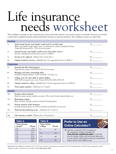# Life insurance needs worksheet

This worksheet can help you get a general sense of how much life insurance you need to protect your family. However, you should consult with a qualified insurance professional before buying any insurance products. The worksheet assumes you died today.

| <b>Income</b>   |                                                                                                                                                                                                   |    |  |  |  |  |
|-----------------|---------------------------------------------------------------------------------------------------------------------------------------------------------------------------------------------------|----|--|--|--|--|
| 1.              | Total annual income your family would need if you died today<br>What your family needs, before taxes, to maintain its current standard of living<br>(Typically between 60% - 75% of total income) | \$ |  |  |  |  |
| 2.              | Annual income your family would receive from other sources<br>Spouse's earnings (Social Security may be available)                                                                                | \$ |  |  |  |  |
| 3.              | Income to be replaced - Subtract line 2 from line 1                                                                                                                                               | \$ |  |  |  |  |
| 4.              | Capital needed for income - Multiply line 3 by appropriate factor in Table A                                                                                                                      | \$ |  |  |  |  |
| <b>Expenses</b> |                                                                                                                                                                                                   |    |  |  |  |  |
| 5.              | Funeral and other final expenses<br>Typically the greater of \$15,000 or 4% of your estate                                                                                                        | \$ |  |  |  |  |
| 6.              | Mortgage and other outstanding debts<br>Include mortgage balance, credit card debt, car loans, etc.                                                                                               | \$ |  |  |  |  |
| 7.              | College costs for each child, in today's dollars<br>2005-2006 average 4-year costs: Private \$125,256; Public \$58,114 <sup>1</sup>                                                               | \$ |  |  |  |  |
| 8.              | Capital needed for college - Multiply line 7 by the appropriate factor in Table B                                                                                                                 | \$ |  |  |  |  |
| 9.              | Total capital required - Add lines 4, 5, 6 and 8                                                                                                                                                  | \$ |  |  |  |  |
| <b>Assets</b>   |                                                                                                                                                                                                   |    |  |  |  |  |
| 10.             | Savings and investments<br>Bank accounts, money market accounts, CDs, stocks, bonds, mutual funds, etc.                                                                                           | \$ |  |  |  |  |
| 11.             | <b>Retirement savings</b><br>$IRAs, 401(k)s, Keoghs, pension and profit-sharing plans$                                                                                                            | \$ |  |  |  |  |
| 12.             | Present amount of life insurance<br>Include group insurance as well as insurance purchased on your own                                                                                            | \$ |  |  |  |  |
| 13.             | Total income-producing assets - Add lines 10, 11 and 12                                                                                                                                           | \$ |  |  |  |  |
| 14.             | Life insurance needed - Subtract line 13 from line 9                                                                                                                                              | \$ |  |  |  |  |

| <b>Table A</b>         |        | <b>Table B</b>          |        |
|------------------------|--------|-------------------------|--------|
| Years income<br>needed | Factor | Years before<br>college | Factor |
| 10                     | 8.8    | 5                       | .85    |
| 15                     | 12.4   |                         |        |
| 20                     | 15.4   | 10                      | .74    |
| 25                     | 18.1   |                         |        |
| 30                     | 20.4   | 15                      | .64    |
| 35                     | 22.4   |                         |        |
| 40                     | 24.1   | 20                      | .56    |

j

**Prefer to Use an Online Calculator?**

☛ Visit the nonprofit LIFE Foundation's life insurance needs calculator at **www.life-line.org/lifecalculator**. It will ask you for similar inputs and will even allow you to vary certain assumptions like the investment rate of return and inflation rate.

**Important note:** Inflation is assumed to be 3%. The rate of return on investments is assumed to be 6%. Changing either or both of these assumptions would change the results. **1***Annual Survey of Colleges,* **The College Board, 2006**.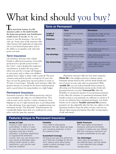## What kind should you buy?

 **he most basic feature of a life insurance policy is the death benefit: the lump-sum payment your beneficiaries would receive if you die.** It's the core reason to own life insurance—but not the only one. Some types of life insurance offer other features that might play an important role in your financial game plan, such as the ability to accumulate cash value that grows over time.

#### **Term Insurance**

Life insurance that pays only a death benefit is called term insurance. It provides protection for a specific period of time the "term"—and is designed for temporary circumstances. It makes the most sense when your need for coverage will disappear at some point, such as when your children

graduate from college or when a debt is paid off. The most common term policies provide coverage for 20 years, but they can run the gamut from one-year policies to terms of 30 years or even longer. Typically, term insurance offers the greatest amount of coverage for the lowest initial premium and is a good choice for young families on a tight budget.

#### **Permanent Insurance**

Permanent insurance offers lifelong protection, and you can accumulate cash value on a tax-deferred basis. This cash account can be used for a variety of purposes, from helping you out of a tight financial spot, to providing funds to take advantage of an opportunity, to supplementing your retirement income. The downside? Initial premiums are considerably higher than what you would pay for a term policy with the same face amount.

#### **T Term or Permanent**

|                       | <b>Term</b>                                                                                                                             | <b>Permanent</b>                                                                            |
|-----------------------|-----------------------------------------------------------------------------------------------------------------------------------------|---------------------------------------------------------------------------------------------|
| Length of<br>coverage | A specified term, typically<br>20 years.                                                                                                | Until age 100 or later, as long<br>as premiums are paid.                                    |
| <b>Premiums</b>       | Based on your age and<br>health, but typically lower<br>than those of permanent<br>insurance.                                           | Initially higher than term<br>premiums, but often level<br>for life.                        |
| Cash value            | None.                                                                                                                                   | Accumulates over time on a<br>tax-deferred basis.                                           |
| Key advantage         | Typically offers the highest<br>death benefit for the lowest<br>cost.                                                                   | Offers lifelong protection and<br>tax-deferred savings.                                     |
| Key disadvantage      | Any number of factors (age,<br>health status, etc.) could<br>make it too expensive to<br>continue coverage after the<br>"term" expires. | Initially larger premiums could<br>make it difficult to buy amount<br>of protection needed. |

 Permanent insurance falls into four main categories. **Whole life** is the simplest and most common option. Premiums remain fixed for life, and the death benefit and rate of return on your cash value are guaranteed. With **variable life**, you can seek potentially better returns by allocating your fixed premiums among stocks, bonds and guaranteed-return accounts. **Universal life** offers the flexibility of varying the amount of your premium payments. It also offers the certainty of a guaranteed minimum death benefit as long as your premiums are sufficient to sustain it. If you do not maintain those minimum premiums, your death benefit can be reduced. **Variable universal life** premium payments are also adjustable after the first one, subject to the minimum needed to keep the policy in force, and you can allocate them among investments that offer varying degrees of risk and reward.

#### **Features Unique to Permanent Insurance**

#### **Access to Cash**

A policy's cash value can be surrendered, in total or in part, for cash that can be put toward important uses like a child's education, a business opportunity or supplemental retirement income. Also, you can borrow from your insurer at favorable rates without credit checks or other restrictions—and use the cash value as collateral.

#### **Flexibility**

If you need to stop paying premiums, the cash value can keep your insurance protection in force for a period of time.

#### **Guaranteed Coverage**

As long as you pay your premiums, you'll have the coverage for life and won't need to worry about being unable to afford coverage if your health deteriorates.

#### **Stable Premiums**

With many types of permanent insurance, premiums will remain constant or stable over your lifetime. With term insurance, premiums will increase substantially as you age.

#### **Tax Advantages**

Cash value accumulates on a tax-deferred basis, just like assets in most retirement and college savings plans.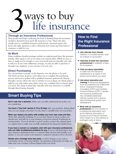# Ways to buy<br>life insurant life insurance

#### **Through an Insurance Professional**

Most people need help conducting the kind of detailed financial assessment needed to determine how much life insurance to buy. That's why they usually turn to a qualified insurance professional, a licensed expert who knows the right questions to ask to determine how much and what kind of insurance is right for you.

#### **At Work**

Many workplace benefits packages include an employer-paid basic life insurance benefit, often equal to one or two times your annual salary. While it's nice to have, it might not be enough to cover your needs and you typically can't take it with you. If you want additional coverage, you may be able to purchase it through your employer, or you can buy it on your own.

#### **Direct Purchasing**

You can purchase coverage via the Internet, over the phone or by mail. The better services, however, won't allow you to complete the purchasing process until you've spoken with a qualified insurance professional. Buying through a service where the onus is entirely on you to figure out which policy is right for you only makes sense when you're very confident that you know what you need. Also, keep in mind that typically only term insurance is available through direct-buying channels.

#### **Smart Buying Tips**

**Don't rush into a decision.** Make sure you fully understand any policy you are considering.

You have a "free look" period of 10 to 30 days after your purchase, during which time you can change your mind. Use the time to carefully read over your policy.

**When you replace one policy with another you incur new costs and fees.** That's why, generally speaking, it's in your best interest to keep a policy you already have and add on to your insurance protection instead of replacing an existing policy. If you do decide to cancel a policy, contact the original agent or company first to make sure you fully understand the financial ramifications.

**If you have a concern or complaint, start with your insurance professional, who can often troubleshoot problems for you.** If you're still dissatisfied, most state insurance departments have a consumer affairs division that handles complaints, or you can contact your insurance company's customer service division.

**Review your coverage every few years,** or when changes occur, such as purchasing a home or having children. An insurance professional can help you make sure your coverage is always aligned with your needs.

#### **How to Find the Right Insurance Professional**

- ☛ **Get referrals from friends,** relatives or a trusted advisor, such as a lawyer or accountant.
- ☛ **Interview at least two insurance professionals** to establish a basis for comparison.
- ☛ **Find out about specialties** to make sure the insurance professional is an expert in the advice and products you need.
- ☛ **Ask about education and training**. Professional designations, such as Chartered Life Underwriter (CLU), Chartered Financial Consultant (ChFC) and Certified Financial Planner (CFP®), indicate the insurance professional has completed advanced training courses and is serious about professional growth and development.
- ☛ **Work with an insurance professional** who is a member of a professional association such as the National Association of Insurance and Financial Advisors, which means he or she adheres to a stringent code of ethics.